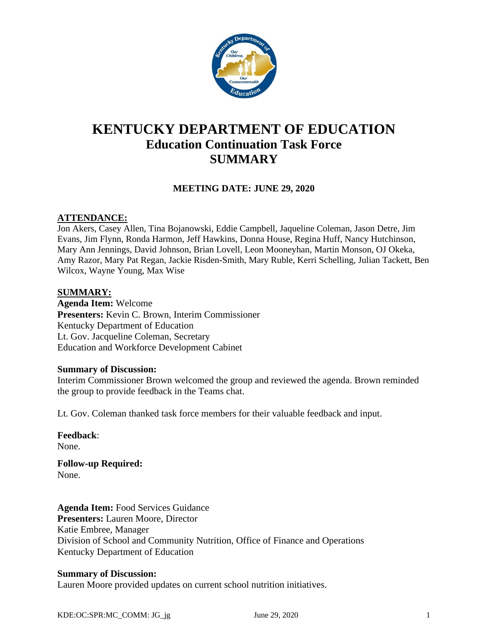

# **KENTUCKY DEPARTMENT OF EDUCATION Education Continuation Task Force SUMMARY**

# **MEETING DATE: JUNE 29, 2020**

## **ATTENDANCE:**

Jon Akers, Casey Allen, Tina Bojanowski, Eddie Campbell, Jaqueline Coleman, Jason Detre, Jim Evans, Jim Flynn, Ronda Harmon, Jeff Hawkins, Donna House, Regina Huff, Nancy Hutchinson, Mary Ann Jennings, David Johnson, Brian Lovell, Leon Mooneyhan, Martin Monson, OJ Okeka, Amy Razor, Mary Pat Regan, Jackie Risden-Smith, Mary Ruble, Kerri Schelling, Julian Tackett, Ben Wilcox, Wayne Young, Max Wise

### **SUMMARY:**

**Agenda Item:** Welcome **Presenters:** Kevin C. Brown, Interim Commissioner Kentucky Department of Education Lt. Gov. Jacqueline Coleman, Secretary Education and Workforce Development Cabinet

#### **Summary of Discussion:**

Interim Commissioner Brown welcomed the group and reviewed the agenda. Brown reminded the group to provide feedback in the Teams chat.

Lt. Gov. Coleman thanked task force members for their valuable feedback and input.

**Feedback**: None. **Follow-up Required:**

None.

**Agenda Item:** Food Services Guidance **Presenters:** Lauren Moore, Director Katie Embree, Manager Division of School and Community Nutrition, Office of Finance and Operations Kentucky Department of Education

### **Summary of Discussion:**

Lauren Moore provided updates on current school nutrition initiatives.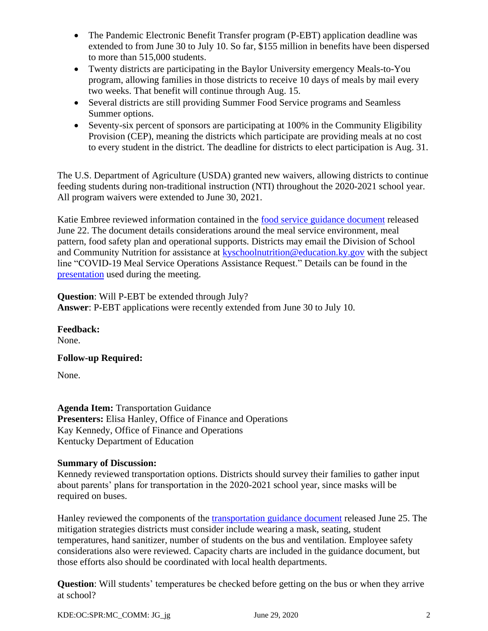- The Pandemic Electronic Benefit Transfer program (P-EBT) application deadline was extended to from June 30 to July 10. So far, \$155 million in benefits have been dispersed to more than 515,000 students.
- Twenty districts are participating in the Baylor University emergency Meals-to-You program, allowing families in those districts to receive 10 days of meals by mail every two weeks. That benefit will continue through Aug. 15.
- Several districts are still providing Summer Food Service programs and Seamless Summer options.
- Seventy-six percent of sponsors are participating at 100% in the Community Eligibility Provision (CEP), meaning the districts which participate are providing meals at no cost to every student in the district. The deadline for districts to elect participation is Aug. 31.

The U.S. Department of Agriculture (USDA) granted new waivers, allowing districts to continue feeding students during non-traditional instruction (NTI) throughout the 2020-2021 school year. All program waivers were extended to June 30, 2021.

Katie Embree reviewed information contained in the [food service guidance document](https://education.ky.gov/comm/Documents/Reopening%20Food%20Service%20Operations%20FINAL.pdf) released June 22. The document details considerations around the meal service environment, meal pattern, food safety plan and operational supports. Districts may email the Division of School and Community Nutrition for assistance at [kyschoolnutrition@education.ky.gov](mailto:kyschoolnutrition@education.ky.gov) with the subject line "COVID-19 Meal Service Operations Assistance Request." Details can be found in the [presentation](https://education.ky.gov/CommOfEd/adv/Documents/Education%20Continuation/2020June29%20Power%20Point.pdf) used during the meeting.

**Question**: Will P-EBT be extended through July? **Answer**: P-EBT applications were recently extended from June 30 to July 10.

**Feedback:** None.

**Follow-up Required:**

None.

**Agenda Item:** Transportation Guidance **Presenters:** Elisa Hanley, Office of Finance and Operations Kay Kennedy, Office of Finance and Operations Kentucky Department of Education

# **Summary of Discussion:**

Kennedy reviewed transportation options. Districts should survey their families to gather input about parents' plans for transportation in the 2020-2021 school year, since masks will be required on buses.

Hanley reviewed the components of the [transportation guidance document](https://education.ky.gov/comm/Documents/Reopening%20Transportation%20FINAL.pdf) released June 25. The mitigation strategies districts must consider include wearing a mask, seating, student temperatures, hand sanitizer, number of students on the bus and ventilation. Employee safety considerations also were reviewed. Capacity charts are included in the guidance document, but those efforts also should be coordinated with local health departments.

**Question**: Will students' temperatures be checked before getting on the bus or when they arrive at school?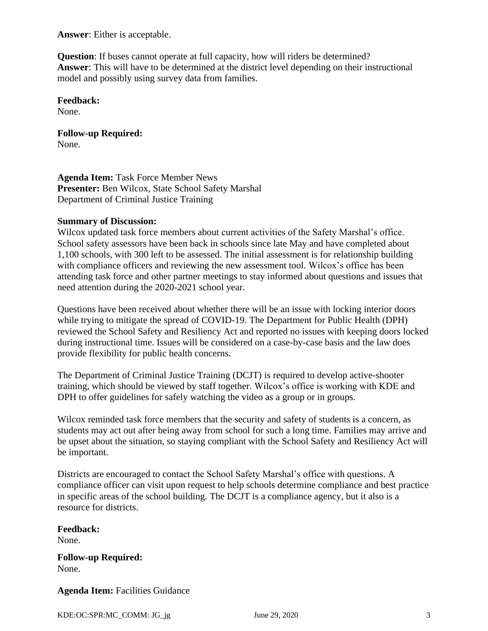**Answer**: Either is acceptable.

**Question**: If buses cannot operate at full capacity, how will riders be determined? **Answer**: This will have to be determined at the district level depending on their instructional model and possibly using survey data from families.

### **Feedback:**

None.

#### **Follow-up Required:** None.

**Agenda Item:** Task Force Member News **Presenter:** Ben Wilcox, State School Safety Marshal Department of Criminal Justice Training

# **Summary of Discussion:**

Wilcox updated task force members about current activities of the Safety Marshal's office. School safety assessors have been back in schools since late May and have completed about 1,100 schools, with 300 left to be assessed. The initial assessment is for relationship building with compliance officers and reviewing the new assessment tool. Wilcox's office has been attending task force and other partner meetings to stay informed about questions and issues that need attention during the 2020-2021 school year.

Questions have been received about whether there will be an issue with locking interior doors while trying to mitigate the spread of COVID-19. The Department for Public Health (DPH) reviewed the School Safety and Resiliency Act and reported no issues with keeping doors locked during instructional time. Issues will be considered on a case-by-case basis and the law does provide flexibility for public health concerns.

The Department of Criminal Justice Training (DCJT) is required to develop active-shooter training, which should be viewed by staff together. Wilcox's office is working with KDE and DPH to offer guidelines for safely watching the video as a group or in groups.

Wilcox reminded task force members that the security and safety of students is a concern, as students may act out after being away from school for such a long time. Families may arrive and be upset about the situation, so staying compliant with the School Safety and Resiliency Act will be important.

Districts are encouraged to contact the School Safety Marshal's office with questions. A compliance officer can visit upon request to help schools determine compliance and best practice in specific areas of the school building. The DCJT is a compliance agency, but it also is a resource for districts.

#### **Feedback:** None.

**Follow-up Required:** None.

**Agenda Item:** Facilities Guidance

KDE:OC:SPR:MC\_COMM: JG\_jg June 29, 2020  $\frac{3}{2}$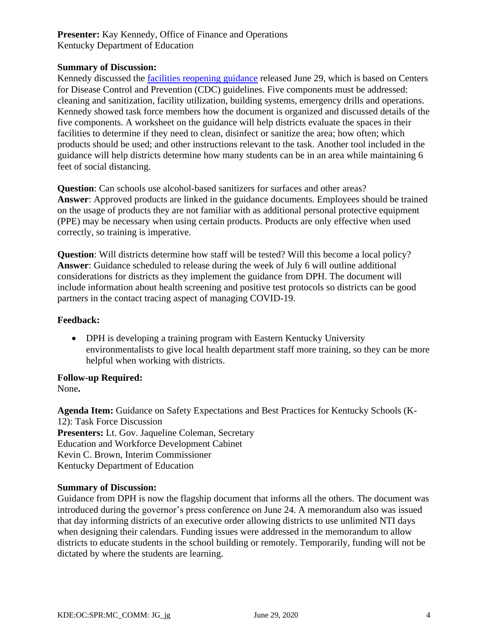# **Presenter:** Kay Kennedy, Office of Finance and Operations Kentucky Department of Education

## **Summary of Discussion:**

Kennedy discussed the [facilities reopening guidance](https://education.ky.gov/comm/Documents/Phase%20II%20Reopening%20Considerations%20Facilities%20and%20Logistics%20FINAL.pdf) released June 29, which is based on Centers for Disease Control and Prevention (CDC) guidelines. Five components must be addressed: cleaning and sanitization, facility utilization, building systems, emergency drills and operations. Kennedy showed task force members how the document is organized and discussed details of the five components. A worksheet on the guidance will help districts evaluate the spaces in their facilities to determine if they need to clean, disinfect or sanitize the area; how often; which products should be used; and other instructions relevant to the task. Another tool included in the guidance will help districts determine how many students can be in an area while maintaining 6 feet of social distancing.

**Question**: Can schools use alcohol-based sanitizers for surfaces and other areas? **Answer**: Approved products are linked in the guidance documents. Employees should be trained on the usage of products they are not familiar with as additional personal protective equipment (PPE) may be necessary when using certain products. Products are only effective when used correctly, so training is imperative.

**Question**: Will districts determine how staff will be tested? Will this become a local policy? **Answer**: Guidance scheduled to release during the week of July 6 will outline additional considerations for districts as they implement the guidance from DPH. The document will include information about health screening and positive test protocols so districts can be good partners in the contact tracing aspect of managing COVID-19.

### **Feedback:**

• DPH is developing a training program with Eastern Kentucky University environmentalists to give local health department staff more training, so they can be more helpful when working with districts.

### **Follow-up Required:**

None**.**

**Agenda Item:** Guidance on Safety Expectations and Best Practices for Kentucky Schools (K-12): Task Force Discussion **Presenters:** Lt. Gov. Jaqueline Coleman, Secretary Education and Workforce Development Cabinet Kevin C. Brown, Interim Commissioner Kentucky Department of Education

### **Summary of Discussion:**

Guidance from DPH is now the flagship document that informs all the others. The document was introduced during the governor's press conference on June 24. A memorandum also was issued that day informing districts of an executive order allowing districts to use unlimited NTI days when designing their calendars. Funding issues were addressed in the memorandum to allow districts to educate students in the school building or remotely. Temporarily, funding will not be dictated by where the students are learning.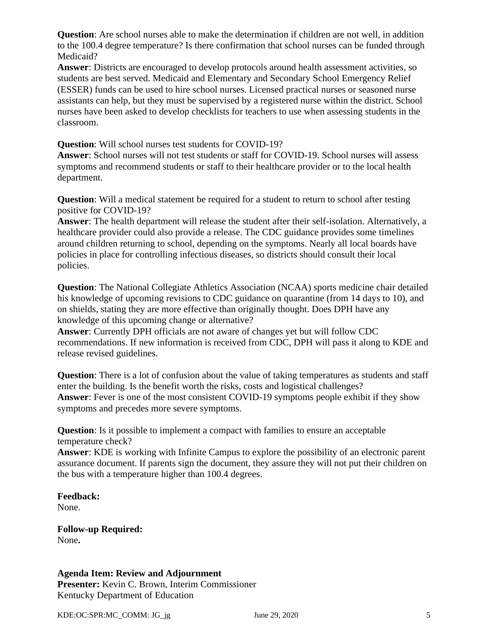**Question**: Are school nurses able to make the determination if children are not well, in addition to the 100.4 degree temperature? Is there confirmation that school nurses can be funded through Medicaid?

**Answer**: Districts are encouraged to develop protocols around health assessment activities, so students are best served. Medicaid and Elementary and Secondary School Emergency Relief (ESSER) funds can be used to hire school nurses. Licensed practical nurses or seasoned nurse assistants can help, but they must be supervised by a registered nurse within the district. School nurses have been asked to develop checklists for teachers to use when assessing students in the classroom.

**Question**: Will school nurses test students for COVID-19?

**Answer**: School nurses will not test students or staff for COVID-19. School nurses will assess symptoms and recommend students or staff to their healthcare provider or to the local health department.

**Question**: Will a medical statement be required for a student to return to school after testing positive for COVID-19?

**Answer**: The health department will release the student after their self-isolation. Alternatively, a healthcare provider could also provide a release. The CDC guidance provides some timelines around children returning to school, depending on the symptoms. Nearly all local boards have policies in place for controlling infectious diseases, so districts should consult their local policies.

**Question**: The National Collegiate Athletics Association (NCAA) sports medicine chair detailed his knowledge of upcoming revisions to CDC guidance on quarantine (from 14 days to 10), and on shields, stating they are more effective than originally thought. Does DPH have any knowledge of this upcoming change or alternative?

**Answer**: Currently DPH officials are not aware of changes yet but will follow CDC recommendations. If new information is received from CDC, DPH will pass it along to KDE and release revised guidelines.

**Question**: There is a lot of confusion about the value of taking temperatures as students and staff enter the building. Is the benefit worth the risks, costs and logistical challenges? **Answer**: Fever is one of the most consistent COVID-19 symptoms people exhibit if they show symptoms and precedes more severe symptoms.

**Question**: Is it possible to implement a compact with families to ensure an acceptable temperature check?

**Answer**: KDE is working with Infinite Campus to explore the possibility of an electronic parent assurance document. If parents sign the document, they assure they will not put their children on the bus with a temperature higher than 100.4 degrees.

# **Feedback:**

None.

**Follow-up Required:** None**.**

# **Agenda Item: Review and Adjournment**

**Presenter:** Kevin C. Brown, Interim Commissioner Kentucky Department of Education